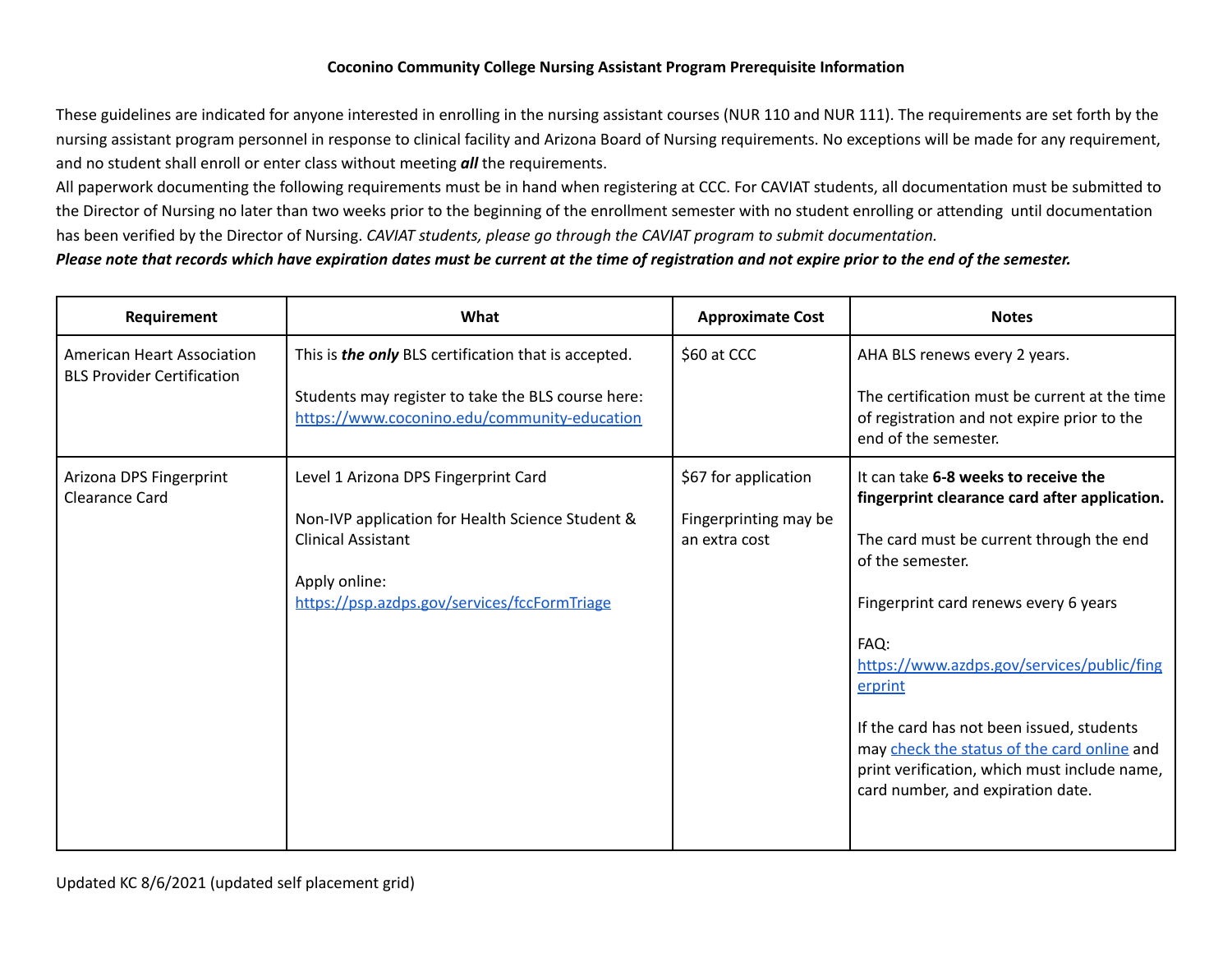## **Coconino Community College Nursing Assistant Program Prerequisite Information**

 These guidelines are indicated for anyone interested in enrolling in the nursing assistant courses (NUR 110 and NUR 111). The requirements are set forth by the nursing assistant program personnel in response to clinical facility and Arizona Board of Nursing requirements. No exceptions will be made for any requirement, and no student shall enroll or enter class without meeting *all* the requirements.

 All paperwork documenting the following requirements must be in hand when registering at CCC. For CAVIAT students, all documentation must be submitted to the Director of Nursing no later than two weeks prior to the beginning of the enrollment semester with no student enrolling or attending until documentation has been verified by the Director of Nursing. *CAVIAT students, please go through the CAVIAT program to submit documentation.*

## Please note that records which have expiration dates must be current at the time of registration and not expire prior to the end of the semester.

| Requirement                                                            | What                                                                                               | <b>Approximate Cost</b>                | <b>Notes</b>                                                                                                                                                                  |
|------------------------------------------------------------------------|----------------------------------------------------------------------------------------------------|----------------------------------------|-------------------------------------------------------------------------------------------------------------------------------------------------------------------------------|
| <b>American Heart Association</b><br><b>BLS Provider Certification</b> | This is the only BLS certification that is accepted.                                               | \$60 at CCC                            | AHA BLS renews every 2 years.                                                                                                                                                 |
|                                                                        | Students may register to take the BLS course here:<br>https://www.coconino.edu/community-education |                                        | The certification must be current at the time<br>of registration and not expire prior to the<br>end of the semester.                                                          |
| Arizona DPS Fingerprint<br>Clearance Card                              | Level 1 Arizona DPS Fingerprint Card                                                               | \$67 for application                   | It can take 6-8 weeks to receive the<br>fingerprint clearance card after application.                                                                                         |
|                                                                        | Non-IVP application for Health Science Student &<br><b>Clinical Assistant</b>                      | Fingerprinting may be<br>an extra cost | The card must be current through the end<br>of the semester.                                                                                                                  |
|                                                                        | Apply online:<br>https://psp.azdps.gov/services/fccFormTriage                                      |                                        | Fingerprint card renews every 6 years                                                                                                                                         |
|                                                                        |                                                                                                    |                                        | FAQ:<br>https://www.azdps.gov/services/public/fing<br>erprint                                                                                                                 |
|                                                                        |                                                                                                    |                                        | If the card has not been issued, students<br>may check the status of the card online and<br>print verification, which must include name,<br>card number, and expiration date. |
|                                                                        |                                                                                                    |                                        |                                                                                                                                                                               |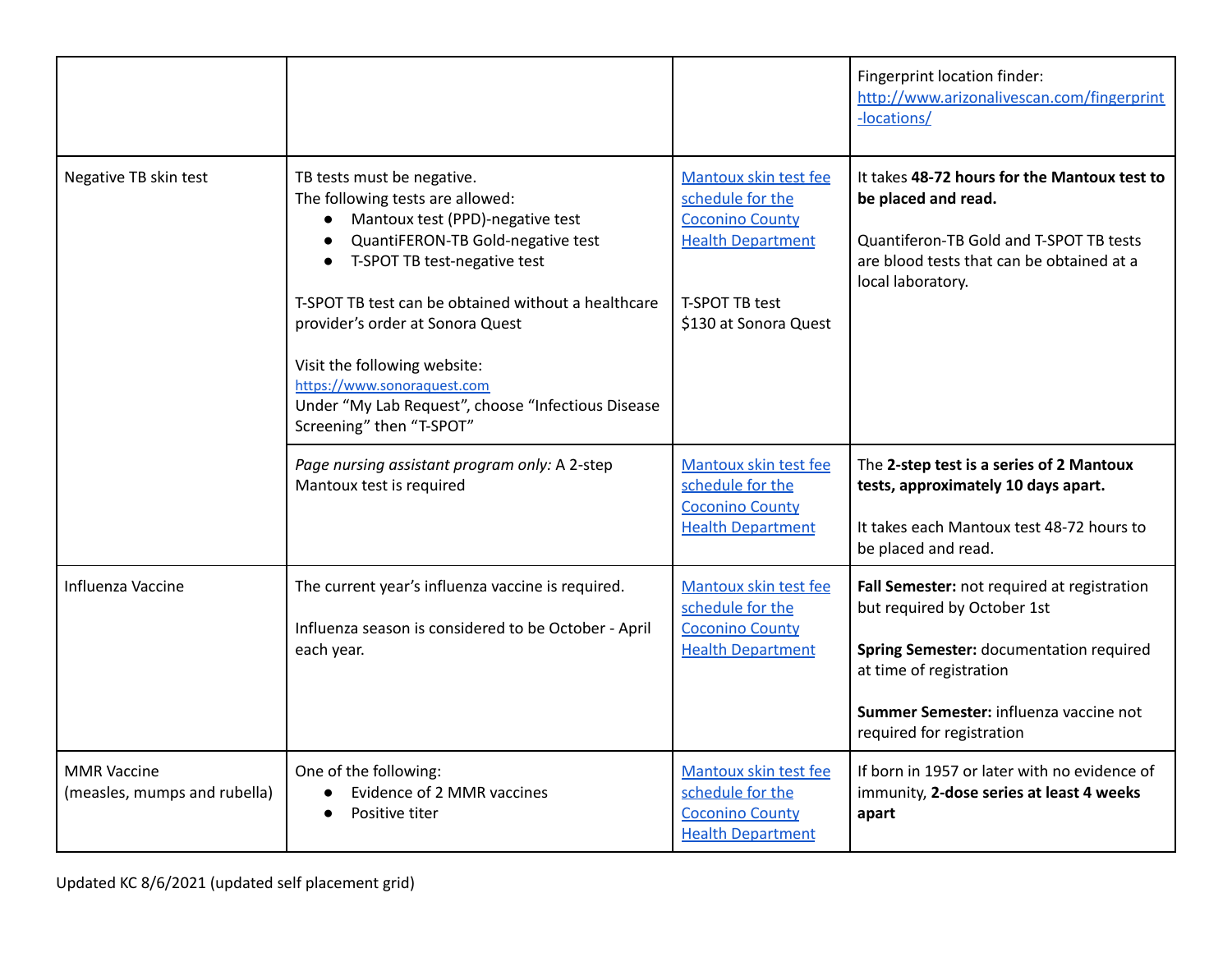|                                                    |                                                                                                                                                                                                                                                                                                                                                                                                                                  |                                                                                                                                                   | Fingerprint location finder:<br>http://www.arizonalivescan.com/fingerprint<br>-locations/                                                                                                                               |
|----------------------------------------------------|----------------------------------------------------------------------------------------------------------------------------------------------------------------------------------------------------------------------------------------------------------------------------------------------------------------------------------------------------------------------------------------------------------------------------------|---------------------------------------------------------------------------------------------------------------------------------------------------|-------------------------------------------------------------------------------------------------------------------------------------------------------------------------------------------------------------------------|
| Negative TB skin test                              | TB tests must be negative.<br>The following tests are allowed:<br>Mantoux test (PPD)-negative test<br>$\bullet$<br>QuantiFERON-TB Gold-negative test<br>T-SPOT TB test-negative test<br>T-SPOT TB test can be obtained without a healthcare<br>provider's order at Sonora Quest<br>Visit the following website:<br>https://www.sonoraquest.com<br>Under "My Lab Request", choose "Infectious Disease<br>Screening" then "T-SPOT" | Mantoux skin test fee<br>schedule for the<br><b>Coconino County</b><br><b>Health Department</b><br><b>T-SPOT TB test</b><br>\$130 at Sonora Quest | It takes 48-72 hours for the Mantoux test to<br>be placed and read.<br>Quantiferon-TB Gold and T-SPOT TB tests<br>are blood tests that can be obtained at a<br>local laboratory.                                        |
|                                                    | Page nursing assistant program only: A 2-step<br>Mantoux test is required                                                                                                                                                                                                                                                                                                                                                        | Mantoux skin test fee<br>schedule for the<br><b>Coconino County</b><br><b>Health Department</b>                                                   | The 2-step test is a series of 2 Mantoux<br>tests, approximately 10 days apart.<br>It takes each Mantoux test 48-72 hours to<br>be placed and read.                                                                     |
| Influenza Vaccine                                  | The current year's influenza vaccine is required.<br>Influenza season is considered to be October - April<br>each year.                                                                                                                                                                                                                                                                                                          | Mantoux skin test fee<br>schedule for the<br><b>Coconino County</b><br><b>Health Department</b>                                                   | Fall Semester: not required at registration<br>but required by October 1st<br>Spring Semester: documentation required<br>at time of registration<br>Summer Semester: influenza vaccine not<br>required for registration |
| <b>MMR Vaccine</b><br>(measles, mumps and rubella) | One of the following:<br>Evidence of 2 MMR vaccines<br>Positive titer                                                                                                                                                                                                                                                                                                                                                            | Mantoux skin test fee<br>schedule for the<br><b>Coconino County</b><br><b>Health Department</b>                                                   | If born in 1957 or later with no evidence of<br>immunity, 2-dose series at least 4 weeks<br>apart                                                                                                                       |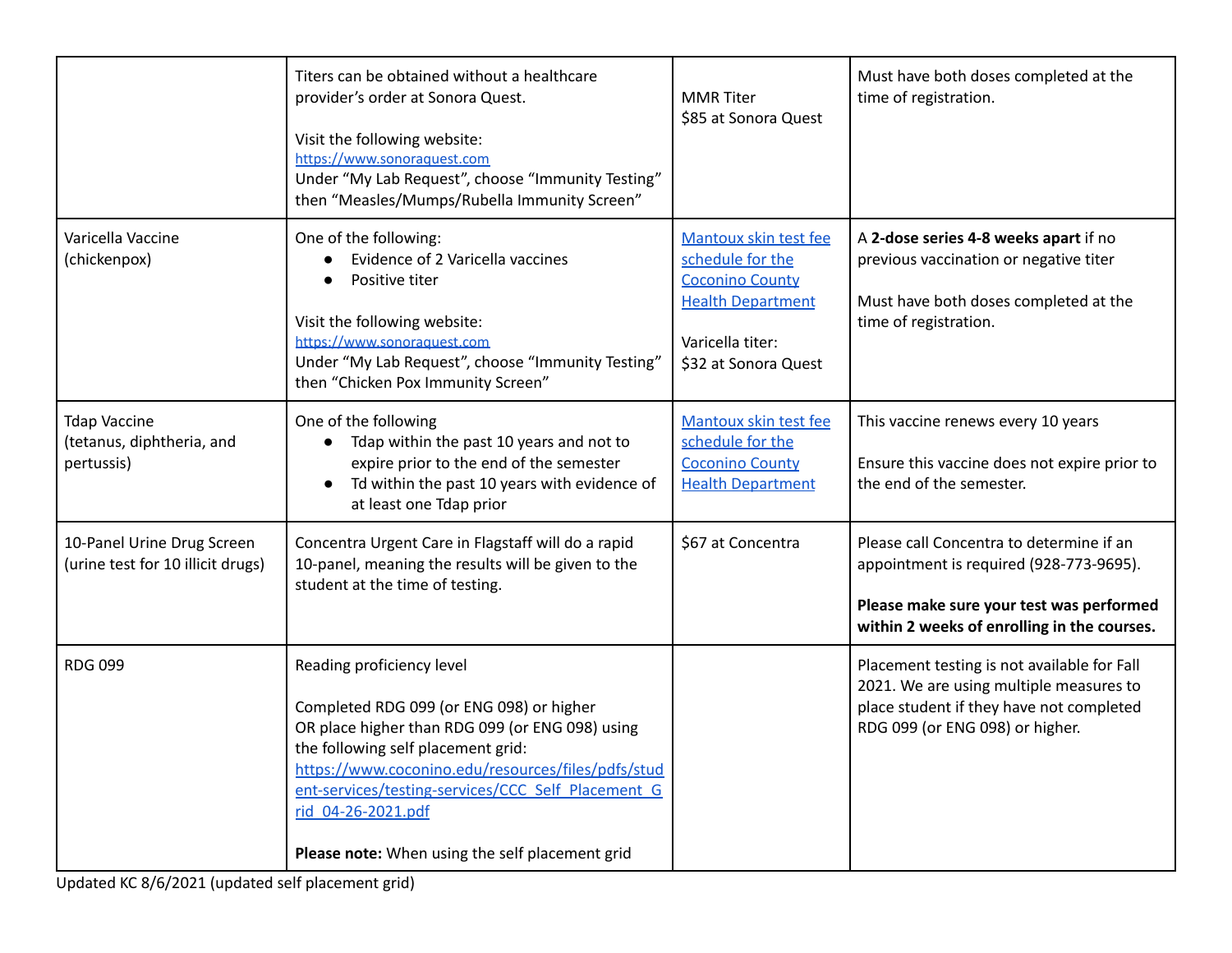|                                                                 | Titers can be obtained without a healthcare<br>provider's order at Sonora Quest.<br>Visit the following website:<br>https://www.sonoraquest.com<br>Under "My Lab Request", choose "Immunity Testing"<br>then "Measles/Mumps/Rubella Immunity Screen"                                                                                                | <b>MMR</b> Titer<br>\$85 at Sonora Quest                                                                                                    | Must have both doses completed at the<br>time of registration.                                                                                                                 |
|-----------------------------------------------------------------|-----------------------------------------------------------------------------------------------------------------------------------------------------------------------------------------------------------------------------------------------------------------------------------------------------------------------------------------------------|---------------------------------------------------------------------------------------------------------------------------------------------|--------------------------------------------------------------------------------------------------------------------------------------------------------------------------------|
| Varicella Vaccine<br>(chickenpox)                               | One of the following:<br>Evidence of 2 Varicella vaccines<br>Positive titer<br>Visit the following website:<br>https://www.sonoraquest.com<br>Under "My Lab Request", choose "Immunity Testing"<br>then "Chicken Pox Immunity Screen"                                                                                                               | Mantoux skin test fee<br>schedule for the<br><b>Coconino County</b><br><b>Health Department</b><br>Varicella titer:<br>\$32 at Sonora Quest | A 2-dose series 4-8 weeks apart if no<br>previous vaccination or negative titer<br>Must have both doses completed at the<br>time of registration.                              |
| <b>Tdap Vaccine</b><br>(tetanus, diphtheria, and<br>pertussis)  | One of the following<br>Tdap within the past 10 years and not to<br>expire prior to the end of the semester<br>Td within the past 10 years with evidence of<br>at least one Tdap prior                                                                                                                                                              | Mantoux skin test fee<br>schedule for the<br><b>Coconino County</b><br><b>Health Department</b>                                             | This vaccine renews every 10 years<br>Ensure this vaccine does not expire prior to<br>the end of the semester.                                                                 |
| 10-Panel Urine Drug Screen<br>(urine test for 10 illicit drugs) | Concentra Urgent Care in Flagstaff will do a rapid<br>10-panel, meaning the results will be given to the<br>student at the time of testing.                                                                                                                                                                                                         | \$67 at Concentra                                                                                                                           | Please call Concentra to determine if an<br>appointment is required (928-773-9695).<br>Please make sure your test was performed<br>within 2 weeks of enrolling in the courses. |
| <b>RDG 099</b>                                                  | Reading proficiency level<br>Completed RDG 099 (or ENG 098) or higher<br>OR place higher than RDG 099 (or ENG 098) using<br>the following self placement grid:<br>https://www.coconino.edu/resources/files/pdfs/stud<br>ent-services/testing-services/CCC Self Placement G<br>rid 04-26-2021.pdf<br>Please note: When using the self placement grid |                                                                                                                                             | Placement testing is not available for Fall<br>2021. We are using multiple measures to<br>place student if they have not completed<br>RDG 099 (or ENG 098) or higher.          |

Updated KC 8/6/2021 (updated self placement grid)